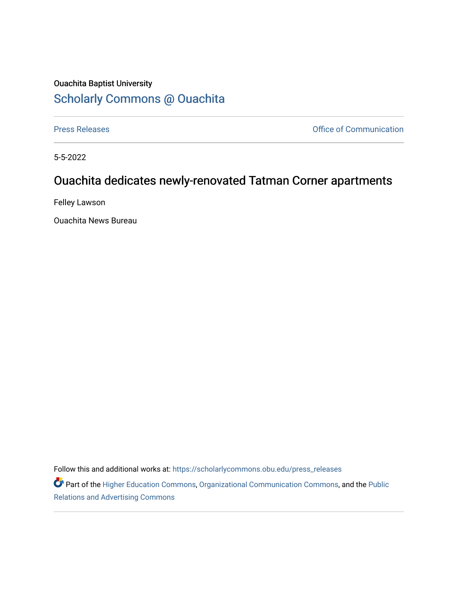## Ouachita Baptist University [Scholarly Commons @ Ouachita](https://scholarlycommons.obu.edu/)

[Press Releases](https://scholarlycommons.obu.edu/press_releases) **Press Releases Communication** 

5-5-2022

## Ouachita dedicates newly-renovated Tatman Corner apartments

Felley Lawson

Ouachita News Bureau

Follow this and additional works at: [https://scholarlycommons.obu.edu/press\\_releases](https://scholarlycommons.obu.edu/press_releases?utm_source=scholarlycommons.obu.edu%2Fpress_releases%2F1088&utm_medium=PDF&utm_campaign=PDFCoverPages)

Part of the [Higher Education Commons,](http://network.bepress.com/hgg/discipline/1245?utm_source=scholarlycommons.obu.edu%2Fpress_releases%2F1088&utm_medium=PDF&utm_campaign=PDFCoverPages) [Organizational Communication Commons,](http://network.bepress.com/hgg/discipline/335?utm_source=scholarlycommons.obu.edu%2Fpress_releases%2F1088&utm_medium=PDF&utm_campaign=PDFCoverPages) and the [Public](http://network.bepress.com/hgg/discipline/336?utm_source=scholarlycommons.obu.edu%2Fpress_releases%2F1088&utm_medium=PDF&utm_campaign=PDFCoverPages) [Relations and Advertising Commons](http://network.bepress.com/hgg/discipline/336?utm_source=scholarlycommons.obu.edu%2Fpress_releases%2F1088&utm_medium=PDF&utm_campaign=PDFCoverPages)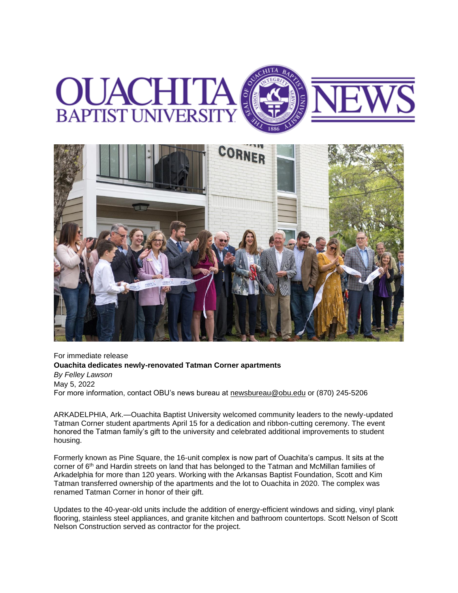



For immediate release **Ouachita dedicates newly-renovated Tatman Corner apartments** *By Felley Lawson* May 5, 2022 For more information, contact OBU's news bureau at [newsbureau@obu.edu](mailto:newsbureau@obu.edu) or (870) 245-5206

ARKADELPHIA, Ark.—Ouachita Baptist University welcomed community leaders to the newly-updated Tatman Corner student apartments April 15 for a dedication and ribbon-cutting ceremony. The event honored the Tatman family's gift to the university and celebrated additional improvements to student housing.

Formerly known as Pine Square, the 16-unit complex is now part of Ouachita's campus. It sits at the corner of 6<sup>th</sup> and Hardin streets on land that has belonged to the Tatman and McMillan families of Arkadelphia for more than 120 years. Working with the Arkansas Baptist Foundation, Scott and Kim Tatman transferred ownership of the apartments and the lot to Ouachita in 2020. The complex was renamed Tatman Corner in honor of their gift.

Updates to the 40-year-old units include the addition of energy-efficient windows and siding, vinyl plank flooring, stainless steel appliances, and granite kitchen and bathroom countertops. Scott Nelson of Scott Nelson Construction served as contractor for the project.